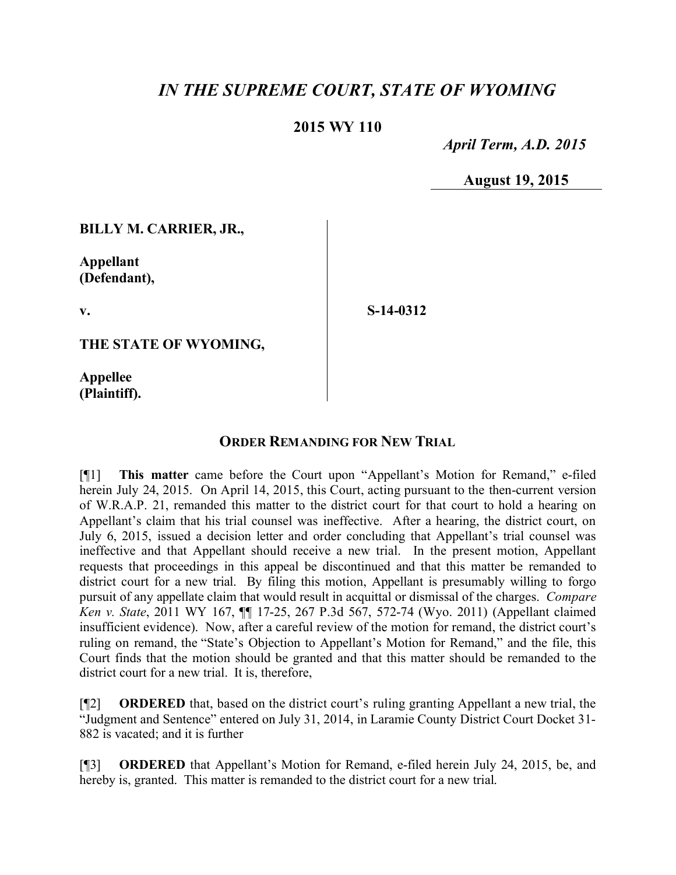## *IN THE SUPREME COURT, STATE OF WYOMING*

## **2015 WY 110**

 *April Term, A.D. 2015*

**August 19, 2015**

**BILLY M. CARRIER, JR.,**

**Appellant (Defendant),**

**v.**

**S-14-0312**

**THE STATE OF WYOMING,**

**Appellee (Plaintiff).**

## **ORDER REMANDING FOR NEW TRIAL**

[¶1] **This matter** came before the Court upon "Appellant's Motion for Remand," e-filed herein July 24, 2015. On April 14, 2015, this Court, acting pursuant to the then-current version of W.R.A.P. 21, remanded this matter to the district court for that court to hold a hearing on Appellant's claim that his trial counsel was ineffective. After a hearing, the district court, on July 6, 2015, issued a decision letter and order concluding that Appellant's trial counsel was ineffective and that Appellant should receive a new trial. In the present motion, Appellant requests that proceedings in this appeal be discontinued and that this matter be remanded to district court for a new trial. By filing this motion, Appellant is presumably willing to forgo pursuit of any appellate claim that would result in acquittal or dismissal of the charges. *Compare Ken v. State*, 2011 WY 167, ¶¶ 17-25, 267 P.3d 567, 572-74 (Wyo. 2011) (Appellant claimed insufficient evidence). Now, after a careful review of the motion for remand, the district court's ruling on remand, the "State's Objection to Appellant's Motion for Remand," and the file, this Court finds that the motion should be granted and that this matter should be remanded to the district court for a new trial. It is, therefore,

[¶2] **ORDERED** that, based on the district court's ruling granting Appellant a new trial, the "Judgment and Sentence" entered on July 31, 2014, in Laramie County District Court Docket 31- 882 is vacated; and it is further

[¶3] **ORDERED** that Appellant's Motion for Remand, e-filed herein July 24, 2015, be, and hereby is, granted. This matter is remanded to the district court for a new trial.